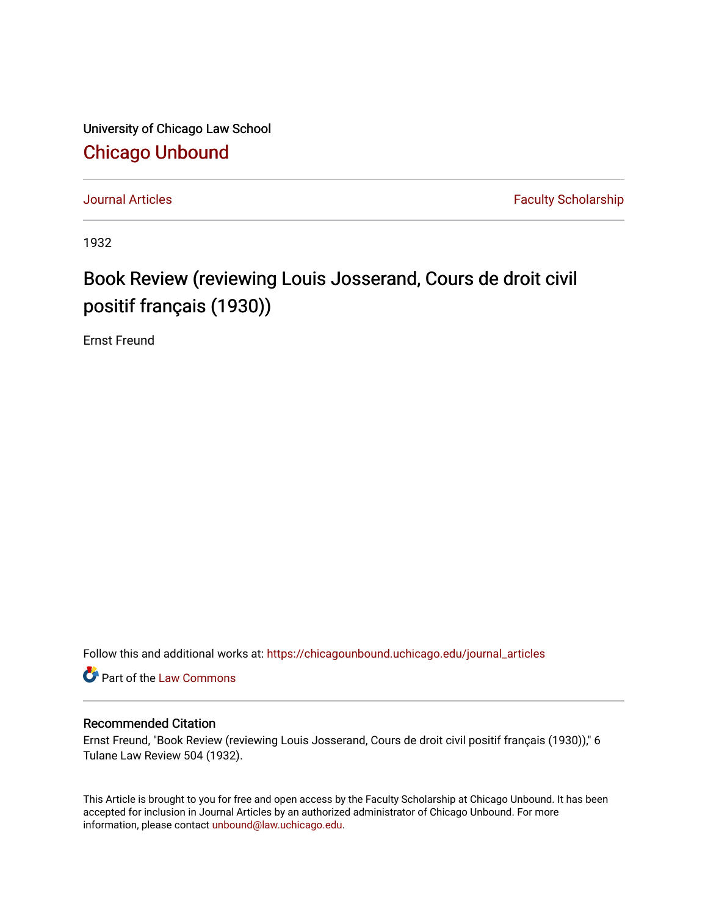University of Chicago Law School [Chicago Unbound](https://chicagounbound.uchicago.edu/)

[Journal Articles](https://chicagounbound.uchicago.edu/journal_articles) **Faculty Scholarship Journal Articles** 

1932

## Book Review (reviewing Louis Josserand, Cours de droit civil positif français (1930))

Ernst Freund

Follow this and additional works at: [https://chicagounbound.uchicago.edu/journal\\_articles](https://chicagounbound.uchicago.edu/journal_articles?utm_source=chicagounbound.uchicago.edu%2Fjournal_articles%2F7797&utm_medium=PDF&utm_campaign=PDFCoverPages) 

Part of the [Law Commons](http://network.bepress.com/hgg/discipline/578?utm_source=chicagounbound.uchicago.edu%2Fjournal_articles%2F7797&utm_medium=PDF&utm_campaign=PDFCoverPages)

## Recommended Citation

Ernst Freund, "Book Review (reviewing Louis Josserand, Cours de droit civil positif français (1930))," 6 Tulane Law Review 504 (1932).

This Article is brought to you for free and open access by the Faculty Scholarship at Chicago Unbound. It has been accepted for inclusion in Journal Articles by an authorized administrator of Chicago Unbound. For more information, please contact [unbound@law.uchicago.edu](mailto:unbound@law.uchicago.edu).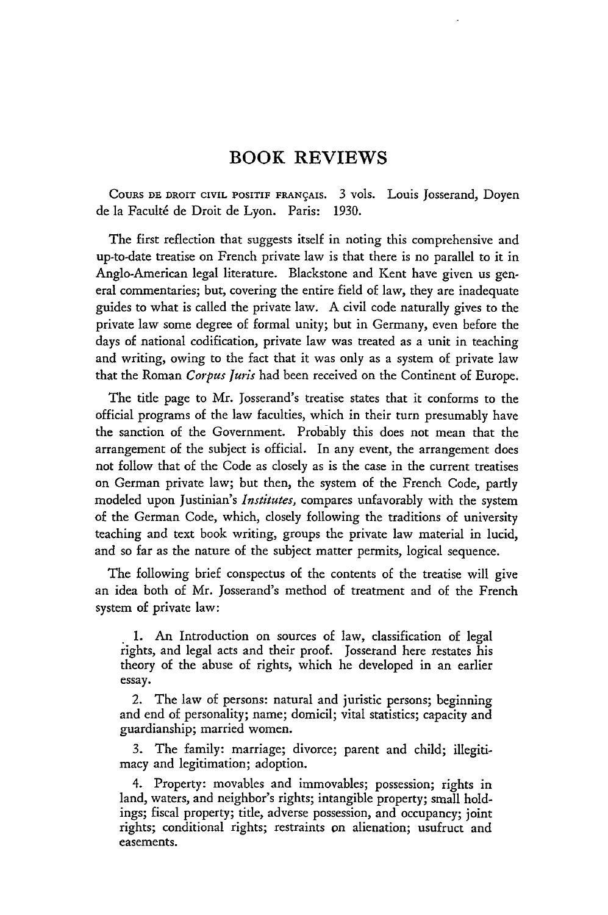## BOOK REVIEWS

**COURS DE DROIT** CIVIL POSITIF **FRANgAIS.** 3 vols. Louis Josserand, Doyen de la Faculté de Droit de Lyon. Paris: 1930.

The first reflection that suggests itself in noting this comprehensive and up-to-date treatise on French private law is that there is no parallel to it in Anglo-American legal literature. Blackstone and Kent have given us general commentaries; but, covering the entire field of law, they are inadequate guides to what is called the private law. A civil code naturally gives to the private law some degree of formal unity; but in Germany, even before the days of national codification, private law was treated as a unit in teaching and writing, owing to the fact that it was only as a system of private law that the Roman *Corpus Juris* had been received on the Continent of Europe.

The title page to Mr. Josserand's treatise states that it conforms to the official programs of the law faculties, which in their turn presumably have the sanction of the Government. Probably this does not mean that the arrangement of the subject is official. In any event, the arrangement does not follow that of the Code as closely as is the case in the current treatises on German private law; but then, the system of the French Code, partly modeled upon Justinian's *Institutes,* compares unfavorably with the system of the German Code, which, closely following the traditions of university teaching and text book writing, groups the private law material in lucid, and so far as the nature of the subject matter permits, logical sequence.

The following brief conspectus of the contents of the treatise will give an idea both of Mr. Josserand's method of treatment and of the French system of private law:

1. An Introduction on sources of law, classification of legal rights, and legal acts and their proof. Josserand here restates his theory of the abuse of rights, which he developed in an earlier essay.

2. The law of persons: natural and juristic persons; beginning and end of personality; name; domicil; vital statistics; capacity and guardianship; married women.

3. The family: marriage; divorce; parent and child; illegitimacy and legitimation; adoption.

4. Property: movables and immovables; possession; rights in land, waters, and neighbor's rights; intangible property; small holdings; fiscal property; title, adverse possession, and occupancy; joint rights; conditional rights; restraints on alienation; usufruct and easements.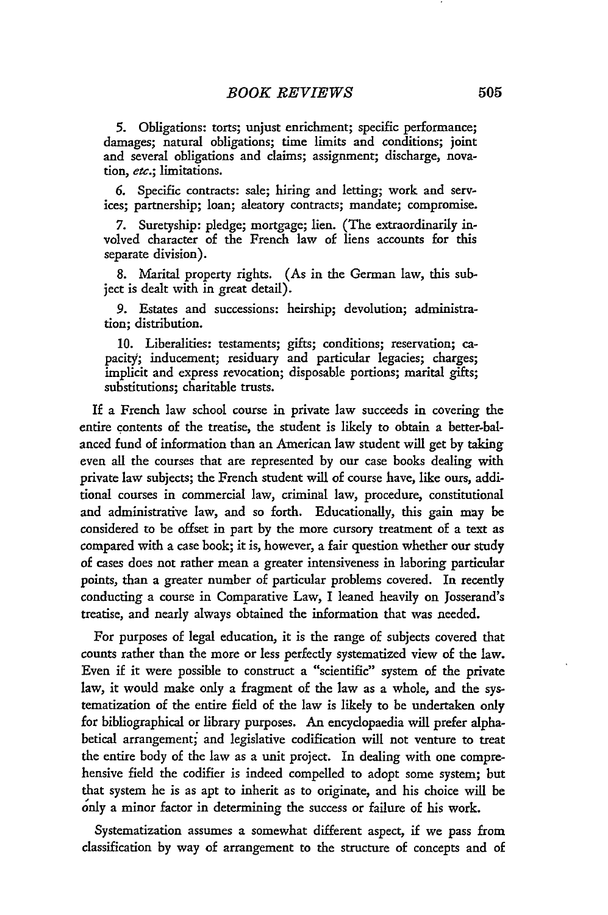**5.** Obligations: torts; unjust enrichment; specific performance; damages; natural obligations; time limits and conditions; joint and several obligations and claims; assignment; discharge, novation, etc.; limitations.

**6.** Specific contracts: sale; hiring and letting; work and services; partnership; loan; aleatory contracts; mandate; compromise.

**7.** Suretyship: pledge; mortgage; lien. (The extraordinarily involved character of the French law of liens accounts for this separate division).

**8.** Marital property rights. (As in the German law, this subject is dealt with in great detail).

9. Estates and successions: heirship; devolution; administration; distribution.

10. Liberalities: testaments; gifts; conditions; reservation; capacity; inducement; residuary and particular legacies; charges; implicit and express revocation; disposable portions; marital gifts; substitutions; charitable trusts.

If a French law school course in private law succeeds in covering the entire contents of the treatise, the student is likely to obtain a better-balanced fund of information than an American law student will get by taking even all the courses that are represented by our case books dealing with private law subjects; the French student will of course have, like ours, additional courses in commercial law, criminal law, procedure, constitutional and administrative law, and so forth. Educationally, this gain may be considered to be offset in part by the more cursory treatment of a text as compared with a case book; it is, however, a fair question whether our study of cases does not rather mean a greater intensiveness in laboring particular points, than a greater number of particular problems covered. In recently conducting a course in Comparative Law, I leaned heavily on Josserand's treatise, and nearly always obtained the information that was needed.

For purposes of legal education, it is the range of subjects covered that counts rather than the more or less perfectly systematized view of the law. Even if it were possible to construct a "scientific" system of the private law, it would make only a fragment of the law as a whole, and the systematization of the entire field of the law is likely to be undertaken only for bibliographical or library purposes. An encydopaedia will prefer alphabetical arrangement; and legislative codification will not venture to treat the entire body of the law as a unit project. In dealing with one comprehensive field the codifier is indeed compelled to adopt some system; but that system he is as apt to inherit as to originate, and his choice will be only a minor factor in determining the success or failure of his work.

Systematization assumes a somewhat different aspect, if we pass from classification by way of arrangement to the structure of concepts and of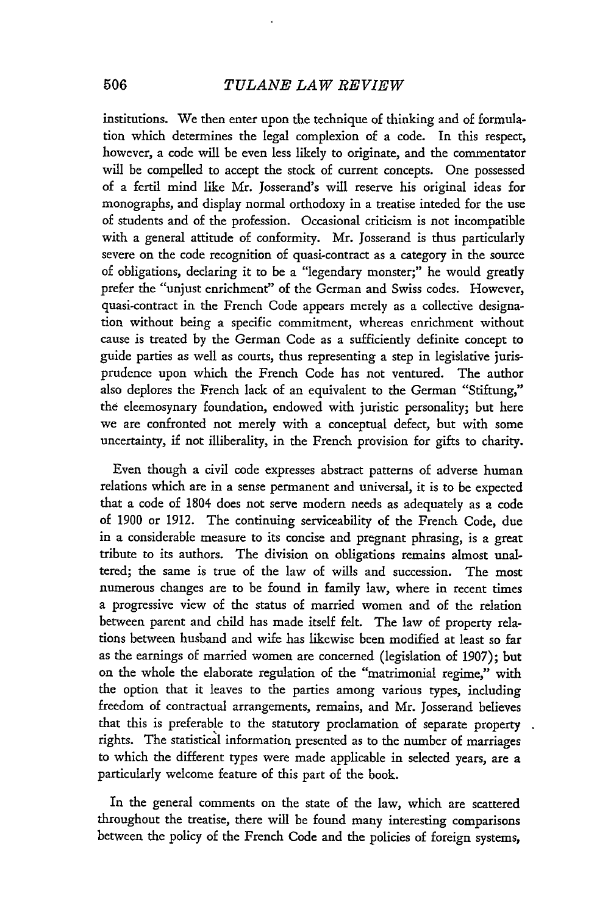institutions. We then enter upon the technique of thinking and of formulation which determines the legal complexion of a code. In this respect, however, a code will be even less likely to originate, and the commentator will be compelled to accept the stock of current concepts. One possessed of a fertil mind like Mr. Josserand's will reserve his original ideas for monographs, and display normal orthodoxy in a treatise inteded for the use of students and of the profession. Occasional criticism is not incompatible with a general attitude of conformity. Mr. Josserand is thus particularly severe on the code recognition of quasi-contract as a category in the source of obligations, declaring it to be a "legendary monster;" he would greatly prefer the "unjust enrichment" of the German and Swiss codes. However, quasi-contract in the French Code appears merely as a collective designation without being a specific commitment, whereas enrichment without cause is treated by the German Code as a sufficiently definite concept to guide parties as well as courts, thus representing a step in legislative jurisprudence upon which the French Code has not ventured. The author also deplores the French lack of an equivalent to the German "Stiftung," the eleemosynary foundation, endowed with juristic personality; but here we are confronted not merely with a conceptual defect, but with some uncertainty, if not illiberality, in the French provision for gifts to charity.

Even though a civil code expresses abstract patterns of adverse human relations which are in a sense permanent and universal, it is to be expected that a code of 1804 does not serve modern needs as adequately as a code of **1900** or **1912.** The continuing serviceability of the French Code, due in a considerable measure to its concise and pregnant phrasing, is a great tribute to its authors. The division on obligations remains almost unaltered; the same is true of the law of wills and succession. The most numerous changes are to be found in family law, where in recent times a progressive view of the status of married women and of the relation between parent and child has made itself felt. The law of property relations between husband and wife has likewise been modified at least so far as the earnings of married women are concerned (legislation of **1907);** but on the whole the elaborate regulation of the "matrimonial regime," with the option that it leaves to the parties among various types, including freedom of contractual arrangements, remains, and Mr. Josserand believes that this is preferable to the statutory proclamation of separate property rights. The statistical information presented as to the number of marriages to which the different types were made applicable in selected years, are a particularly welcome feature of this part of the book.

In the general comments on the state of the law, which are scattered throughout the treatise, there will be found many interesting comparisons between the policy of the French Code and the policies of foreign systems,